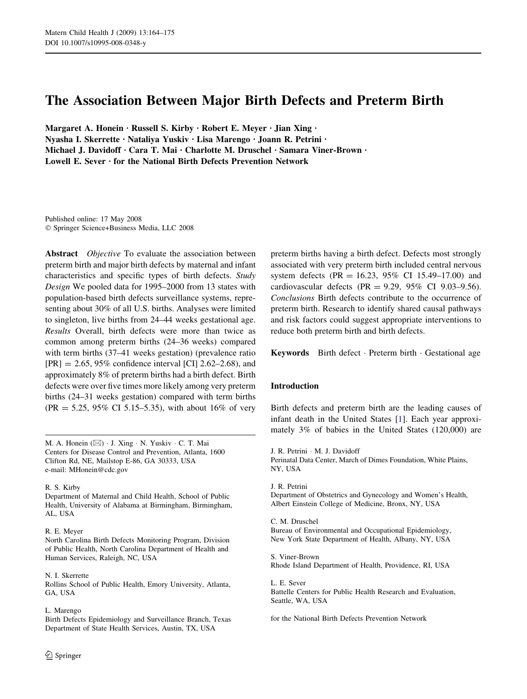# The Association Between Major Birth Defects and Preterm Birth

Margaret A. Honein  $\cdot$  Russell S. Kirby  $\cdot$  Robert E. Meyer  $\cdot$  Jian Xing  $\cdot$ Nyasha I. Skerrette · Nataliya Yuskiv · Lisa Marengo · Joann R. Petrini · Michael J. Davidoff  $\cdot$  Cara T. Mai  $\cdot$  Charlotte M. Druschel  $\cdot$  Samara Viner-Brown  $\cdot$ Lowell E. Sever  $\cdot$  for the National Birth Defects Prevention Network

Published online: 17 May 2008 Springer Science+Business Media, LLC 2008

Abstract Objective To evaluate the association between preterm birth and major birth defects by maternal and infant characteristics and specific types of birth defects. Study Design We pooled data for 1995–2000 from 13 states with population-based birth defects surveillance systems, representing about 30% of all U.S. births. Analyses were limited to singleton, live births from 24–44 weeks gestational age. Results Overall, birth defects were more than twice as common among preterm births (24–36 weeks) compared with term births (37–41 weeks gestation) (prevalence ratio  $[PR] = 2.65, 95\%$  confidence interval  $[CI] 2.62-2.68$ , and approximately 8% of preterm births had a birth defect. Birth defects were over five times more likely among very preterm births (24–31 weeks gestation) compared with term births  $(PR = 5.25, 95\% \text{ CI } 5.15 - 5.35)$ , with about 16% of very

M. A. Honein (⊠) · J. Xing · N. Yuskiv · C. T. Mai Centers for Disease Control and Prevention, Atlanta, 1600 Clifton Rd, NE, Mailstop E-86, GA 30333, USA e-mail: MHonein@cdc.gov

## R. S. Kirby

Department of Maternal and Child Health, School of Public Health, University of Alabama at Birmingham, Birmingham, AL, USA

## R. E. Meyer

North Carolina Birth Defects Monitoring Program, Division of Public Health, North Carolina Department of Health and Human Services, Raleigh, NC, USA

#### N. I. Skerrette

Rollins School of Public Health, Emory University, Atlanta, GA, USA

## L. Marengo

Birth Defects Epidemiology and Surveillance Branch, Texas Department of State Health Services, Austin, TX, USA

preterm births having a birth defect. Defects most strongly associated with very preterm birth included central nervous system defects (PR = 16.23, 95% CI 15.49–17.00) and cardiovascular defects (PR = 9.29, 95% CI 9.03-9.56). Conclusions Birth defects contribute to the occurrence of preterm birth. Research to identify shared causal pathways and risk factors could suggest appropriate interventions to reduce both preterm birth and birth defects.

Keywords Birth defect · Preterm birth · Gestational age

## Introduction

Birth defects and preterm birth are the leading causes of infant death in the United States [\[1](#page-10-0)]. Each year approximately 3% of babies in the United States (120,000) are

J. R. Petrini · M. J. Davidoff Perinatal Data Center, March of Dimes Foundation, White Plains, NY, USA

J. R. Petrini Department of Obstetrics and Gynecology and Women's Health, Albert Einstein College of Medicine, Bronx, NY, USA

C. M. Druschel Bureau of Environmental and Occupational Epidemiology, New York State Department of Health, Albany, NY, USA

S. Viner-Brown Rhode Island Department of Health, Providence, RI, USA

L. E. Sever Battelle Centers for Public Health Research and Evaluation, Seattle, WA, USA

for the National Birth Defects Prevention Network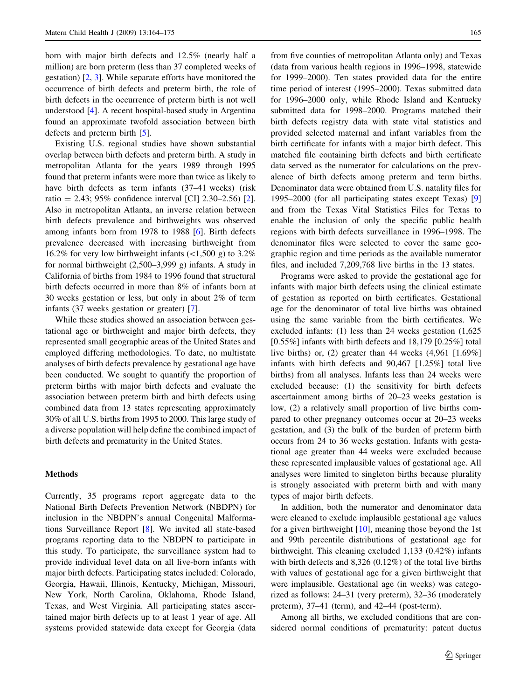born with major birth defects and 12.5% (nearly half a million) are born preterm (less than 37 completed weeks of gestation) [\[2](#page-10-0), [3\]](#page-10-0). While separate efforts have monitored the occurrence of birth defects and preterm birth, the role of birth defects in the occurrence of preterm birth is not well understood [[4\]](#page-10-0). A recent hospital-based study in Argentina found an approximate twofold association between birth defects and preterm birth [[5\]](#page-10-0).

Existing U.S. regional studies have shown substantial overlap between birth defects and preterm birth. A study in metropolitan Atlanta for the years 1989 through 1995 found that preterm infants were more than twice as likely to have birth defects as term infants (37–41 weeks) (risk ratio = 2.43;  $95\%$  confidence interval [CI] 2.30–2.56) [\[2](#page-10-0)]. Also in metropolitan Atlanta, an inverse relation between birth defects prevalence and birthweights was observed among infants born from 1978 to 1988 [[6\]](#page-10-0). Birth defects prevalence decreased with increasing birthweight from 16.2% for very low birthweight infants  $(\leq1,500 \text{ g})$  to 3.2% for normal birthweight (2,500–3,999 g) infants. A study in California of births from 1984 to 1996 found that structural birth defects occurred in more than 8% of infants born at 30 weeks gestation or less, but only in about 2% of term infants (37 weeks gestation or greater) [\[7](#page-10-0)].

While these studies showed an association between gestational age or birthweight and major birth defects, they represented small geographic areas of the United States and employed differing methodologies. To date, no multistate analyses of birth defects prevalence by gestational age have been conducted. We sought to quantify the proportion of preterm births with major birth defects and evaluate the association between preterm birth and birth defects using combined data from 13 states representing approximately 30% of all U.S. births from 1995 to 2000. This large study of a diverse population will help define the combined impact of birth defects and prematurity in the United States.

# Methods

Currently, 35 programs report aggregate data to the National Birth Defects Prevention Network (NBDPN) for inclusion in the NBDPN's annual Congenital Malformations Surveillance Report [\[8](#page-10-0)]. We invited all state-based programs reporting data to the NBDPN to participate in this study. To participate, the surveillance system had to provide individual level data on all live-born infants with major birth defects. Participating states included: Colorado, Georgia, Hawaii, Illinois, Kentucky, Michigan, Missouri, New York, North Carolina, Oklahoma, Rhode Island, Texas, and West Virginia. All participating states ascertained major birth defects up to at least 1 year of age. All systems provided statewide data except for Georgia (data from five counties of metropolitan Atlanta only) and Texas (data from various health regions in 1996–1998, statewide for 1999–2000). Ten states provided data for the entire time period of interest (1995–2000). Texas submitted data for 1996–2000 only, while Rhode Island and Kentucky submitted data for 1998–2000. Programs matched their birth defects registry data with state vital statistics and provided selected maternal and infant variables from the birth certificate for infants with a major birth defect. This matched file containing birth defects and birth certificate data served as the numerator for calculations on the prevalence of birth defects among preterm and term births. Denominator data were obtained from U.S. natality files for 1995–2000 (for all participating states except Texas) [[9\]](#page-10-0) and from the Texas Vital Statistics Files for Texas to enable the inclusion of only the specific public health regions with birth defects surveillance in 1996–1998. The denominator files were selected to cover the same geographic region and time periods as the available numerator files, and included 7,209,768 live births in the 13 states.

Programs were asked to provide the gestational age for infants with major birth defects using the clinical estimate of gestation as reported on birth certificates. Gestational age for the denominator of total live births was obtained using the same variable from the birth certificates. We excluded infants: (1) less than 24 weeks gestation (1,625  $[0.55\%]$  infants with birth defects and 18,179  $[0.25\%]$  total live births) or, (2) greater than 44 weeks  $(4,961 \; [1.69\%]$ infants with birth defects and 90,467 [1.25%] total live births) from all analyses. Infants less than 24 weeks were excluded because: (1) the sensitivity for birth defects ascertainment among births of 20–23 weeks gestation is low, (2) a relatively small proportion of live births compared to other pregnancy outcomes occur at 20–23 weeks gestation, and (3) the bulk of the burden of preterm birth occurs from 24 to 36 weeks gestation. Infants with gestational age greater than 44 weeks were excluded because these represented implausible values of gestational age. All analyses were limited to singleton births because plurality is strongly associated with preterm birth and with many types of major birth defects.

In addition, both the numerator and denominator data were cleaned to exclude implausible gestational age values for a given birthweight [\[10](#page-10-0)], meaning those beyond the 1st and 99th percentile distributions of gestational age for birthweight. This cleaning excluded 1,133 (0.42%) infants with birth defects and 8,326 (0.12%) of the total live births with values of gestational age for a given birthweight that were implausible. Gestational age (in weeks) was categorized as follows: 24–31 (very preterm), 32–36 (moderately preterm), 37–41 (term), and 42–44 (post-term).

Among all births, we excluded conditions that are considered normal conditions of prematurity: patent ductus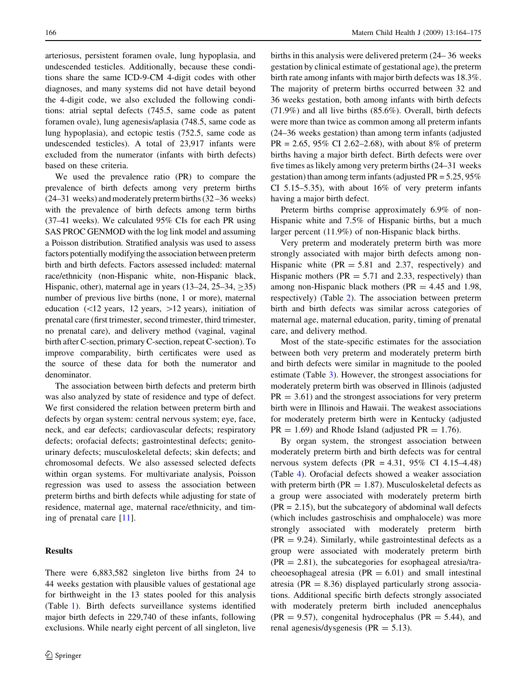arteriosus, persistent foramen ovale, lung hypoplasia, and undescended testicles. Additionally, because these conditions share the same ICD-9-CM 4-digit codes with other diagnoses, and many systems did not have detail beyond the 4-digit code, we also excluded the following conditions: atrial septal defects (745.5, same code as patent foramen ovale), lung agenesis/aplasia (748.5, same code as lung hypoplasia), and ectopic testis (752.5, same code as undescended testicles). A total of 23,917 infants were excluded from the numerator (infants with birth defects) based on these criteria.

We used the prevalence ratio (PR) to compare the prevalence of birth defects among very preterm births (24–31 weeks) and moderately preterm births (32 –36 weeks) with the prevalence of birth defects among term births (37–41 weeks). We calculated 95% CIs for each PR using SAS PROC GENMOD with the log link model and assuming a Poisson distribution. Stratified analysis was used to assess factors potentially modifying the association between preterm birth and birth defects. Factors assessed included: maternal race/ethnicity (non-Hispanic white, non-Hispanic black, Hispanic, other), maternal age in years (13–24, 25–34,  $\geq$ 35) number of previous live births (none, 1 or more), maternal education  $(\leq 12 \text{ years}, 12 \text{ years}, > 12 \text{ years})$ , initiation of prenatal care (first trimester, second trimester, third trimester, no prenatal care), and delivery method (vaginal, vaginal birth after C-section, primary C-section, repeat C-section). To improve comparability, birth certificates were used as the source of these data for both the numerator and denominator.

The association between birth defects and preterm birth was also analyzed by state of residence and type of defect. We first considered the relation between preterm birth and defects by organ system: central nervous system; eye, face, neck, and ear defects; cardiovascular defects; respiratory defects; orofacial defects; gastrointestinal defects; genitourinary defects; musculoskeletal defects; skin defects; and chromosomal defects. We also assessed selected defects within organ systems. For multivariate analysis, Poisson regression was used to assess the association between preterm births and birth defects while adjusting for state of residence, maternal age, maternal race/ethnicity, and timing of prenatal care [[11\]](#page-10-0).

# **Results**

There were 6,883,582 singleton live births from 24 to 44 weeks gestation with plausible values of gestational age for birthweight in the 13 states pooled for this analysis (Table [1](#page-3-0)). Birth defects surveillance systems identified major birth defects in 229,740 of these infants, following exclusions. While nearly eight percent of all singleton, live

births in this analysis were delivered preterm (24– 36 weeks gestation by clinical estimate of gestational age), the preterm birth rate among infants with major birth defects was 18.3%. The majority of preterm births occurred between 32 and 36 weeks gestation, both among infants with birth defects (71.9%) and all live births (85.6%). Overall, birth defects were more than twice as common among all preterm infants (24–36 weeks gestation) than among term infants (adjusted  $PR = 2.65, 95\% \text{ CI } 2.62-2.68$ , with about 8% of preterm births having a major birth defect. Birth defects were over five times as likely among very preterm births (24–31 weeks gestation) than among term infants (adjusted  $PR = 5.25, 95\%$ CI 5.15–5.35), with about 16% of very preterm infants having a major birth defect.

Preterm births comprise approximately 6.9% of non-Hispanic white and 7.5% of Hispanic births, but a much larger percent (11.9%) of non-Hispanic black births.

Very preterm and moderately preterm birth was more strongly associated with major birth defects among non-Hispanic white  $(\text{PR} = 5.81 \text{ and } 2.37, \text{ respectively})$  and Hispanic mothers ( $PR = 5.71$  and 2.33, respectively) than among non-Hispanic black mothers ( $PR = 4.45$  and 1.98, respectively) (Table [2\)](#page-4-0). The association between preterm birth and birth defects was similar across categories of maternal age, maternal education, parity, timing of prenatal care, and delivery method.

Most of the state-specific estimates for the association between both very preterm and moderately preterm birth and birth defects were similar in magnitude to the pooled estimate (Table [3\)](#page-5-0). However, the strongest associations for moderately preterm birth was observed in Illinois (adjusted  $PR = 3.61$ ) and the strongest associations for very preterm birth were in Illinois and Hawaii. The weakest associations for moderately preterm birth were in Kentucky (adjusted  $PR = 1.69$  and Rhode Island (adjusted  $PR = 1.76$ ).

By organ system, the strongest association between moderately preterm birth and birth defects was for central nervous system defects (PR = 4.31, 95% CI 4.15–4.48) (Table [4\)](#page-6-0). Orofacial defects showed a weaker association with preterm birth ( $PR = 1.87$ ). Musculoskeletal defects as a group were associated with moderately preterm birth  $(PR = 2.15)$ , but the subcategory of abdominal wall defects (which includes gastroschisis and omphalocele) was more strongly associated with moderately preterm birth  $(PR = 9.24)$ . Similarly, while gastrointestinal defects as a group were associated with moderately preterm birth  $(PR = 2.81)$ , the subcategories for esophageal atresia/tracheoesophageal atresia ( $PR = 6.01$ ) and small intestinal atresia (PR  $= 8.36$ ) displayed particularly strong associations. Additional specific birth defects strongly associated with moderately preterm birth included anencephalus  $(PR = 9.57)$ , congenital hydrocephalus  $(PR = 5.44)$ , and renal agenesis/dysgenesis ( $PR = 5.13$ ).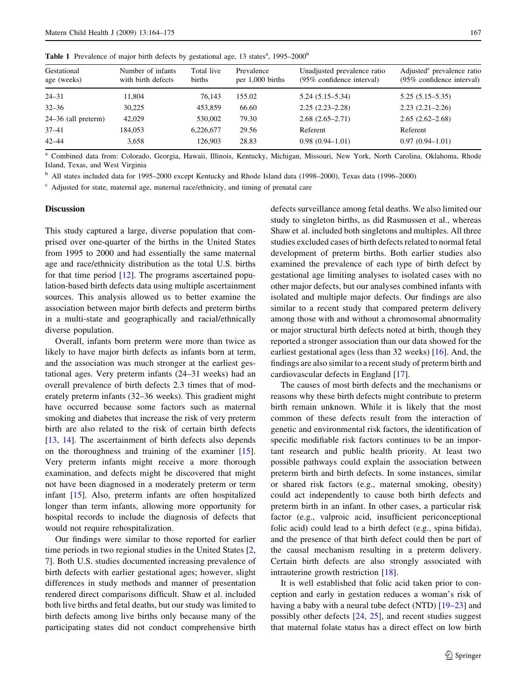<span id="page-3-0"></span>**Table 1** Prevalence of major birth defects by gestational age, 13 states<sup>a</sup>, 1995–2000<sup>b</sup>

| Gestational           | Number of infants  | Total live | Prevalence         | Unadjusted prevalence ratio | Adjusted <sup>c</sup> prevalence ratio |  |
|-----------------------|--------------------|------------|--------------------|-----------------------------|----------------------------------------|--|
| age (weeks)           | with birth defects | births     | per $1,000$ births | (95% confidence interval)   | (95% confidence interval)              |  |
| $24 - 31$             | 11,804             | 76.143     | 155.02             | $5.24(5.15-5.34)$           | $5.25(5.15 - 5.35)$                    |  |
| $32 - 36$             | 30.225             | 453,859    | 66.60              | $2.25(2.23 - 2.28)$         | $2.23(2.21-2.26)$                      |  |
| $24-36$ (all preterm) | 42,029             | 530,002    | 79.30              | $2.68(2.65-2.71)$           | $2.65(2.62 - 2.68)$                    |  |
| $37 - 41$             | 184.053            | 6,226,677  | 29.56              | Referent                    | Referent                               |  |
| $42 - 44$             | 3,658              | 126,903    | 28.83              | $0.98(0.94 - 1.01)$         | $0.97(0.94 - 1.01)$                    |  |

<sup>a</sup> Combined data from: Colorado, Georgia, Hawaii, Illinois, Kentucky, Michigan, Missouri, New York, North Carolina, Oklahoma, Rhode Island, Texas, and West Virginia

<sup>b</sup> All states included data for 1995–2000 except Kentucky and Rhode Island data (1998–2000), Texas data (1996–2000)

<sup>c</sup> Adjusted for state, maternal age, maternal race/ethnicity, and timing of prenatal care

#### **Discussion**

This study captured a large, diverse population that comprised over one-quarter of the births in the United States from 1995 to 2000 and had essentially the same maternal age and race/ethnicity distribution as the total U.S. births for that time period [\[12](#page-10-0)]. The programs ascertained population-based birth defects data using multiple ascertainment sources. This analysis allowed us to better examine the association between major birth defects and preterm births in a multi-state and geographically and racial/ethnically diverse population.

Overall, infants born preterm were more than twice as likely to have major birth defects as infants born at term, and the association was much stronger at the earliest gestational ages. Very preterm infants (24–31 weeks) had an overall prevalence of birth defects 2.3 times that of moderately preterm infants (32–36 weeks). This gradient might have occurred because some factors such as maternal smoking and diabetes that increase the risk of very preterm birth are also related to the risk of certain birth defects [\[13](#page-10-0), [14\]](#page-10-0). The ascertainment of birth defects also depends on the thoroughness and training of the examiner [\[15](#page-10-0)]. Very preterm infants might receive a more thorough examination, and defects might be discovered that might not have been diagnosed in a moderately preterm or term infant [[15\]](#page-10-0). Also, preterm infants are often hospitalized longer than term infants, allowing more opportunity for hospital records to include the diagnosis of defects that would not require rehospitalization.

Our findings were similar to those reported for earlier time periods in two regional studies in the United States [[2,](#page-10-0) [7](#page-10-0)]. Both U.S. studies documented increasing prevalence of birth defects with earlier gestational ages; however, slight differences in study methods and manner of presentation rendered direct comparisons difficult. Shaw et al. included both live births and fetal deaths, but our study was limited to birth defects among live births only because many of the participating states did not conduct comprehensive birth defects surveillance among fetal deaths. We also limited our study to singleton births, as did Rasmussen et al., whereas Shaw et al. included both singletons and multiples. All three studies excluded cases of birth defects related to normal fetal development of preterm births. Both earlier studies also examined the prevalence of each type of birth defect by gestational age limiting analyses to isolated cases with no other major defects, but our analyses combined infants with isolated and multiple major defects. Our findings are also similar to a recent study that compared preterm delivery among those with and without a chromosomal abnormality or major structural birth defects noted at birth, though they reported a stronger association than our data showed for the earliest gestational ages (less than 32 weeks) [[16\]](#page-10-0). And, the findings are also similar to a recent study of preterm birth and cardiovascular defects in England [[17\]](#page-10-0).

The causes of most birth defects and the mechanisms or reasons why these birth defects might contribute to preterm birth remain unknown. While it is likely that the most common of these defects result from the interaction of genetic and environmental risk factors, the identification of specific modifiable risk factors continues to be an important research and public health priority. At least two possible pathways could explain the association between preterm birth and birth defects. In some instances, similar or shared risk factors (e.g., maternal smoking, obesity) could act independently to cause both birth defects and preterm birth in an infant. In other cases, a particular risk factor (e.g., valproic acid, insufficient periconceptional folic acid) could lead to a birth defect (e.g., spina bifida), and the presence of that birth defect could then be part of the causal mechanism resulting in a preterm delivery. Certain birth defects are also strongly associated with intrauterine growth restriction [[18\]](#page-10-0).

It is well established that folic acid taken prior to conception and early in gestation reduces a woman's risk of having a baby with a neural tube defect (NTD) [\[19–23](#page-10-0)] and possibly other defects [\[24](#page-10-0), [25\]](#page-10-0), and recent studies suggest that maternal folate status has a direct effect on low birth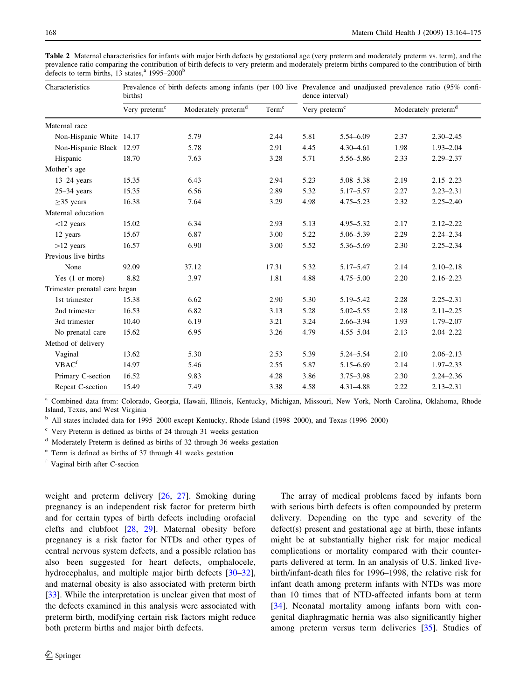| Characteristics               | Prevalence of birth defects among infants (per 100 live Prevalence and unadjusted prevalence ratio (95% confi-<br>births) |                                 |                            |                           | dence interval) |      |                                          |  |  |
|-------------------------------|---------------------------------------------------------------------------------------------------------------------------|---------------------------------|----------------------------|---------------------------|-----------------|------|------------------------------------------|--|--|
|                               | Very preterm <sup>c</sup>                                                                                                 | Moderately preterm <sup>d</sup> | $\mathrm{Term}^\mathrm{e}$ | Very preterm <sup>c</sup> |                 |      | Moderately $\mathsf{preterm}^\mathsf{d}$ |  |  |
| Maternal race                 |                                                                                                                           |                                 |                            |                           |                 |      |                                          |  |  |
| Non-Hispanic White 14.17      |                                                                                                                           | 5.79                            | 2.44                       | 5.81                      | 5.54-6.09       | 2.37 | $2.30 - 2.45$                            |  |  |
| Non-Hispanic Black 12.97      |                                                                                                                           | 5.78                            | 2.91                       | 4.45                      | $4.30 - 4.61$   | 1.98 | $1.93 - 2.04$                            |  |  |
| Hispanic                      | 18.70                                                                                                                     | 7.63                            | 3.28                       | 5.71                      | 5.56-5.86       | 2.33 | $2.29 - 2.37$                            |  |  |
| Mother's age                  |                                                                                                                           |                                 |                            |                           |                 |      |                                          |  |  |
| $13-24$ years                 | 15.35                                                                                                                     | 6.43                            | 2.94                       | 5.23                      | 5.08-5.38       | 2.19 | $2.15 - 2.23$                            |  |  |
| $25-34$ years                 | 15.35                                                                                                                     | 6.56                            | 2.89                       | 5.32                      | $5.17 - 5.57$   | 2.27 | $2.23 - 2.31$                            |  |  |
| $\geq$ 35 years               | 16.38                                                                                                                     | 7.64                            | 3.29                       | 4.98                      | $4.75 - 5.23$   | 2.32 | $2.25 - 2.40$                            |  |  |
| Maternal education            |                                                                                                                           |                                 |                            |                           |                 |      |                                          |  |  |
| $<$ 12 years                  | 15.02                                                                                                                     | 6.34                            | 2.93                       | 5.13                      | $4.95 - 5.32$   | 2.17 | $2.12 - 2.22$                            |  |  |
| 12 years                      | 15.67                                                                                                                     | 6.87                            | 3.00                       | 5.22                      | 5.06-5.39       | 2.29 | $2.24 - 2.34$                            |  |  |
| $>12$ years                   | 16.57                                                                                                                     | 6.90                            | 3.00                       | 5.52                      | 5.36-5.69       | 2.30 | $2.25 - 2.34$                            |  |  |
| Previous live births          |                                                                                                                           |                                 |                            |                           |                 |      |                                          |  |  |
| None                          | 92.09                                                                                                                     | 37.12                           | 17.31                      | 5.32                      | $5.17 - 5.47$   | 2.14 | $2.10 - 2.18$                            |  |  |
| Yes $(1 \text{ or more})$     | 8.82                                                                                                                      | 3.97                            | 1.81                       | 4.88                      | $4.75 - 5.00$   | 2.20 | $2.16 - 2.23$                            |  |  |
| Trimester prenatal care began |                                                                                                                           |                                 |                            |                           |                 |      |                                          |  |  |
| 1st trimester                 | 15.38                                                                                                                     | 6.62                            | 2.90                       | 5.30                      | 5.19 - 5.42     | 2.28 | $2.25 - 2.31$                            |  |  |
| 2nd trimester                 | 16.53                                                                                                                     | 6.82                            | 3.13                       | 5.28                      | $5.02 - 5.55$   | 2.18 | $2.11 - 2.25$                            |  |  |
| 3rd trimester                 | 10.40                                                                                                                     | 6.19                            | 3.21                       | 3.24                      | $2.66 - 3.94$   | 1.93 | $1.79 - 2.07$                            |  |  |
| No prenatal care              | 15.62                                                                                                                     | 6.95                            | 3.26                       | 4.79                      | $4.55 - 5.04$   | 2.13 | $2.04 - 2.22$                            |  |  |
| Method of delivery            |                                                                                                                           |                                 |                            |                           |                 |      |                                          |  |  |
| Vaginal                       | 13.62                                                                                                                     | 5.30                            | 2.53                       | 5.39                      | 5.24 - 5.54     | 2.10 | $2.06 - 2.13$                            |  |  |
| VBAC <sup>f</sup>             | 14.97                                                                                                                     | 5.46                            | 2.55                       | 5.87                      | 5.15-6.69       | 2.14 | $1.97 - 2.33$                            |  |  |
| Primary C-section             | 16.52                                                                                                                     | 9.83                            | 4.28                       | 3.86                      | $3.75 - 3.98$   | 2.30 | $2.24 - 2.36$                            |  |  |
| Repeat C-section              | 15.49                                                                                                                     | 7.49                            | 3.38                       | 4.58                      | 4.31-4.88       | 2.22 | $2.13 - 2.31$                            |  |  |

<span id="page-4-0"></span>Table 2 Maternal characteristics for infants with major birth defects by gestational age (very preterm and moderately preterm vs. term), and the prevalence ratio comparing the contribution of birth defects to very preterm and moderately preterm births compared to the contribution of birth defects to term births, 13 states, $a$  1995–2000<sup>b</sup>

<sup>a</sup> Combined data from: Colorado, Georgia, Hawaii, Illinois, Kentucky, Michigan, Missouri, New York, North Carolina, Oklahoma, Rhode Island, Texas, and West Virginia

<sup>b</sup> All states included data for 1995–2000 except Kentucky, Rhode Island (1998–2000), and Texas (1996–2000)

 $\degree$  Very Preterm is defined as births of 24 through 31 weeks gestation

<sup>d</sup> Moderately Preterm is defined as births of 32 through 36 weeks gestation

<sup>e</sup> Term is defined as births of 37 through 41 weeks gestation

<sup>f</sup> Vaginal birth after C-section

weight and preterm delivery [\[26](#page-10-0), [27](#page-10-0)]. Smoking during pregnancy is an independent risk factor for preterm birth and for certain types of birth defects including orofacial clefts and clubfoot [[28,](#page-10-0) [29\]](#page-10-0). Maternal obesity before pregnancy is a risk factor for NTDs and other types of central nervous system defects, and a possible relation has also been suggested for heart defects, omphalocele, hydrocephalus, and multiple major birth defects [\[30–32](#page-11-0)], and maternal obesity is also associated with preterm birth [\[33](#page-11-0)]. While the interpretation is unclear given that most of the defects examined in this analysis were associated with preterm birth, modifying certain risk factors might reduce both preterm births and major birth defects.

The array of medical problems faced by infants born with serious birth defects is often compounded by preterm delivery. Depending on the type and severity of the defect(s) present and gestational age at birth, these infants might be at substantially higher risk for major medical complications or mortality compared with their counterparts delivered at term. In an analysis of U.S. linked livebirth/infant-death files for 1996–1998, the relative risk for infant death among preterm infants with NTDs was more than 10 times that of NTD-affected infants born at term [\[34](#page-11-0)]. Neonatal mortality among infants born with congenital diaphragmatic hernia was also significantly higher among preterm versus term deliveries [\[35](#page-11-0)]. Studies of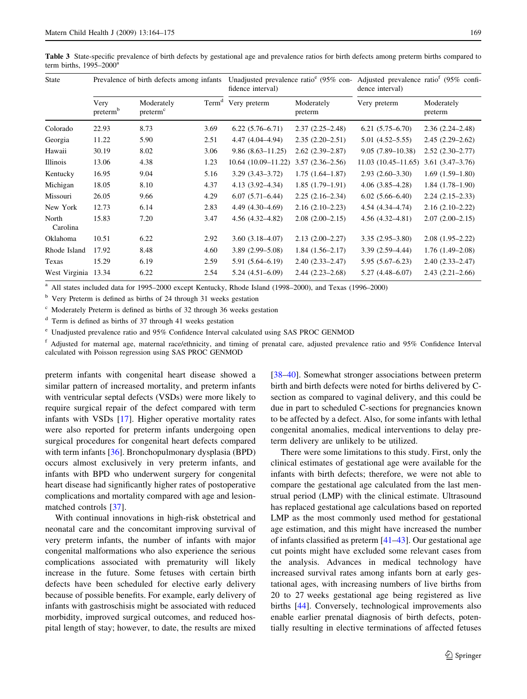<span id="page-5-0"></span>Table 3 State-specific prevalence of birth defects by gestational age and prevalence ratios for birth defects among preterm births compared to term births,  $1995-2000^{\circ}$ 

| <b>State</b>      |                              | Prevalence of birth defects among infants |      | fidence interval)              |                       | Unadjusted prevalence ratio <sup>e</sup> (95% con- Adjusted prevalence ratio <sup>f</sup> (95% confi-<br>dence interval) |                       |  |
|-------------------|------------------------------|-------------------------------------------|------|--------------------------------|-----------------------|--------------------------------------------------------------------------------------------------------------------------|-----------------------|--|
|                   | Very<br>preterm <sup>b</sup> | Moderately<br>preterm <sup>c</sup>        |      | Term <sup>a</sup> Very preterm | Moderately<br>preterm | Very preterm                                                                                                             | Moderately<br>preterm |  |
| Colorado          | 22.93                        | 8.73                                      | 3.69 | $6.22(5.76-6.71)$              | $2.37(2.25-2.48)$     | $6.21(5.75-6.70)$                                                                                                        | $2.36(2.24 - 2.48)$   |  |
| Georgia           | 11.22                        | 5.90                                      | 2.51 | $4.47(4.04 - 4.94)$            | $2.35(2.20-2.51)$     | $5.01(4.52 - 5.55)$                                                                                                      | $2.45(2.29-2.62)$     |  |
| Hawaii            | 30.19                        | 8.02                                      | 3.06 | $9.86(8.63 - 11.25)$           | $2.62(2.39-2.87)$     | $9.05(7.89 - 10.38)$                                                                                                     | $2.52(2.30-2.77)$     |  |
| Illinois          | 13.06                        | 4.38                                      | 1.23 | 10.64 (10.09-11.22)            | $3.57(2.36-2.56)$     | $11.03(10.45-11.65)$                                                                                                     | $3.61(3.47-3.76)$     |  |
| Kentucky          | 16.95                        | 9.04                                      | 5.16 | $3.29(3.43 - 3.72)$            | $1.75(1.64-1.87)$     | $2.93(2.60-3.30)$                                                                                                        | $1.69(1.59-1.80)$     |  |
| Michigan          | 18.05                        | 8.10                                      | 4.37 | $4.13(3.92 - 4.34)$            | $1.85(1.79-1.91)$     | $4.06(3.85-4.28)$                                                                                                        | $1.84(1.78-1.90)$     |  |
| Missouri          | 26.05                        | 9.66                                      | 4.29 | $6.07(5.71 - 6.44)$            | $2.25(2.16-2.34)$     | $6.02(5.66 - 6.40)$                                                                                                      | $2.24(2.15-2.33)$     |  |
| New York          | 12.73                        | 6.14                                      | 2.83 | $4.49(4.30-4.69)$              | $2.16(2.10-2.23)$     | $4.54(4.34 - 4.74)$                                                                                                      | $2.16(2.10-2.22)$     |  |
| North<br>Carolina | 15.83                        | 7.20                                      | 3.47 | $4.56(4.32 - 4.82)$            | $2.08(2.00-2.15)$     | $4.56(4.32 - 4.81)$                                                                                                      | $2.07(2.00-2.15)$     |  |
| Oklahoma          | 10.51                        | 6.22                                      | 2.92 | $3.60(3.18-4.07)$              | $2.13(2.00-2.27)$     | $3.35(2.95-3.80)$                                                                                                        | $2.08(1.95-2.22)$     |  |
| Rhode Island      | 17.92                        | 8.48                                      | 4.60 | $3.89(2.99 - 5.08)$            | $1.84(1.56-2.17)$     | $3.39(2.59-4.44)$                                                                                                        | $1.76(1.49-2.08)$     |  |
| Texas             | 15.29                        | 6.19                                      | 2.59 | $5.91(5.64 - 6.19)$            | $2.40(2.33 - 2.47)$   | $5.95(5.67 - 6.23)$                                                                                                      | $2.40(2.33 - 2.47)$   |  |
| West Virginia     | 13.34                        | 6.22                                      | 2.54 | $5.24(4.51-6.09)$              | $2.44(2.23-2.68)$     | $5.27(4.48 - 6.07)$                                                                                                      | $2.43(2.21-2.66)$     |  |

<sup>a</sup> All states included data for 1995–2000 except Kentucky, Rhode Island (1998–2000), and Texas (1996–2000)

<sup>b</sup> Very Preterm is defined as births of 24 through 31 weeks gestation

<sup>c</sup> Moderately Preterm is defined as births of 32 through 36 weeks gestation

<sup>d</sup> Term is defined as births of 37 through 41 weeks gestation

<sup>e</sup> Unadjusted prevalence ratio and 95% Confidence Interval calculated using SAS PROC GENMOD

<sup>f</sup> Adjusted for maternal age, maternal race/ethnicity, and timing of prenatal care, adjusted prevalence ratio and 95% Confidence Interval calculated with Poisson regression using SAS PROC GENMOD

preterm infants with congenital heart disease showed a similar pattern of increased mortality, and preterm infants with ventricular septal defects (VSDs) were more likely to require surgical repair of the defect compared with term infants with VSDs [[17\]](#page-10-0). Higher operative mortality rates were also reported for preterm infants undergoing open surgical procedures for congenital heart defects compared with term infants [\[36](#page-11-0)]. Bronchopulmonary dysplasia (BPD) occurs almost exclusively in very preterm infants, and infants with BPD who underwent surgery for congenital heart disease had significantly higher rates of postoperative complications and mortality compared with age and lesionmatched controls [\[37](#page-11-0)].

With continual innovations in high-risk obstetrical and neonatal care and the concomitant improving survival of very preterm infants, the number of infants with major congenital malformations who also experience the serious complications associated with prematurity will likely increase in the future. Some fetuses with certain birth defects have been scheduled for elective early delivery because of possible benefits. For example, early delivery of infants with gastroschisis might be associated with reduced morbidity, improved surgical outcomes, and reduced hospital length of stay; however, to date, the results are mixed [\[38–40](#page-11-0)]. Somewhat stronger associations between preterm birth and birth defects were noted for births delivered by Csection as compared to vaginal delivery, and this could be due in part to scheduled C-sections for pregnancies known to be affected by a defect. Also, for some infants with lethal congenital anomalies, medical interventions to delay preterm delivery are unlikely to be utilized.

There were some limitations to this study. First, only the clinical estimates of gestational age were available for the infants with birth defects; therefore, we were not able to compare the gestational age calculated from the last menstrual period (LMP) with the clinical estimate. Ultrasound has replaced gestational age calculations based on reported LMP as the most commonly used method for gestational age estimation, and this might have increased the number of infants classified as preterm [[41–43](#page-11-0)]. Our gestational age cut points might have excluded some relevant cases from the analysis. Advances in medical technology have increased survival rates among infants born at early gestational ages, with increasing numbers of live births from 20 to 27 weeks gestational age being registered as live births [\[44](#page-11-0)]. Conversely, technological improvements also enable earlier prenatal diagnosis of birth defects, potentially resulting in elective terminations of affected fetuses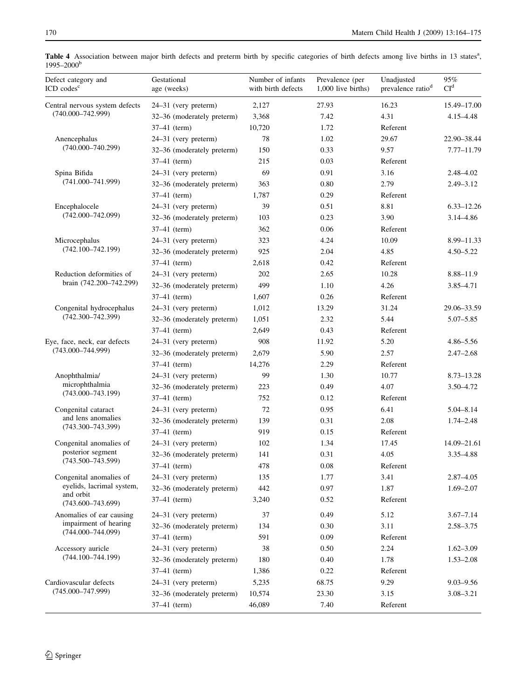<span id="page-6-0"></span>

|                            | Table 4 Association between major birth defects and preterm birth by specific categories of birth defects among live births in 13 states <sup>a</sup> , |  |  |  |  |  |  |  |  |  |  |
|----------------------------|---------------------------------------------------------------------------------------------------------------------------------------------------------|--|--|--|--|--|--|--|--|--|--|
| $1995 - 2000^{\mathrm{b}}$ |                                                                                                                                                         |  |  |  |  |  |  |  |  |  |  |

| Defect category and<br>ICD codes <sup>c</sup>         | Gestational<br>age (weeks)                   | Number of infants<br>with birth defects | Prevalence (per<br>1,000 live births) | Unadjusted<br>prevalence ratio <sup>d</sup> | 95%<br>CI <sup>d</sup> |
|-------------------------------------------------------|----------------------------------------------|-----------------------------------------|---------------------------------------|---------------------------------------------|------------------------|
| Central nervous system defects                        | 24–31 (very preterm)                         | 2,127                                   | 27.93                                 | 16.23                                       | 15.49-17.00            |
| $(740.000 - 742.999)$                                 | 32-36 (moderately preterm)                   | 3,368                                   | 7.42                                  | 4.31                                        | $4.15 - 4.48$          |
|                                                       | $37-41$ (term)                               | 10,720                                  | 1.72                                  | Referent                                    |                        |
| Anencephalus<br>$(740.000 - 740.299)$                 | 24-31 (very preterm)                         | 78                                      | 1.02                                  | 29.67                                       | 22.90-38.44            |
|                                                       | 32-36 (moderately preterm)                   | 150                                     | 0.33                                  | 9.57                                        | 7.77-11.79             |
|                                                       | $37-41$ (term)                               | 215                                     | 0.03                                  | Referent                                    |                        |
| Spina Bifida<br>$(741.000 - 741.999)$                 | 24-31 (very preterm)                         | 69                                      | 0.91                                  | 3.16                                        | 2.48-4.02              |
|                                                       | 32-36 (moderately preterm)                   | 363                                     | 0.80                                  | 2.79                                        | $2.49 - 3.12$          |
|                                                       | $37-41$ (term)                               | 1,787                                   | 0.29                                  | Referent                                    |                        |
| Encephalocele                                         | 24-31 (very preterm)                         | 39                                      | 0.51                                  | 8.81                                        | $6.33 - 12.26$         |
| $(742.000 - 742.099)$                                 | 32-36 (moderately preterm)                   | 103                                     | 0.23                                  | 3.90                                        | 3.14 - 4.86            |
|                                                       | $37-41$ (term)                               | 362                                     | 0.06                                  | Referent                                    |                        |
|                                                       | 24–31 (very preterm)                         | 323                                     | 4.24                                  | 10.09                                       | 8.99-11.33             |
| Microcephalus<br>$(742.100 - 742.199)$                | 32-36 (moderately preterm)                   | 925                                     | 2.04                                  | 4.85                                        | $4.50 - 5.22$          |
|                                                       | $37-41$ (term)                               | 2,618                                   | 0.42                                  | Referent                                    |                        |
| Reduction deformities of                              | 24-31 (very preterm)                         | 202                                     | 2.65                                  | 10.28                                       | 8.88-11.9              |
| brain (742.200-742.299)                               | 32-36 (moderately preterm)                   | 499                                     | 1.10                                  | 4.26                                        | 3.85-4.71              |
|                                                       | $37-41$ (term)                               | 1,607                                   | 0.26                                  | Referent                                    |                        |
| Congenital hydrocephalus                              | 24-31 (very preterm)                         | 1,012                                   | 13.29                                 | 31.24                                       | 29.06-33.59            |
| $(742.300 - 742.399)$                                 | 32-36 (moderately preterm)                   | 1,051                                   | 2.32                                  | 5.44                                        | $5.07 - 5.85$          |
|                                                       | $37-41$ (term)                               | 2,649                                   | 0.43                                  | Referent                                    |                        |
| Eye, face, neck, ear defects<br>$(743.000 - 744.999)$ | 24-31 (very preterm)                         | 908                                     | 11.92                                 | 5.20                                        | 4.86–5.56              |
|                                                       | 32-36 (moderately preterm)                   | 2,679                                   | 5.90                                  | 2.57                                        | $2.47 - 2.68$          |
|                                                       | $37-41$ (term)                               | 14,276                                  | 2.29                                  | Referent                                    |                        |
| Anophthalmia/                                         | 24-31 (very preterm)                         | 99                                      | 1.30                                  | 10.77                                       | 8.73-13.28             |
| microphthalmia                                        | 32-36 (moderately preterm)                   | 223                                     | 0.49                                  | 4.07                                        | 3.50–4.72              |
| $(743.000 - 743.199)$                                 | $37-41$ (term)                               | 752                                     | 0.12                                  | Referent                                    |                        |
|                                                       |                                              | 72                                      | 0.95                                  | 6.41                                        | $5.04 - 8.14$          |
| Congenital cataract                                   | 24–31 (very preterm)                         |                                         |                                       | 2.08                                        |                        |
| and lens anomalies<br>$(743.300 - 743.399)$           | 32-36 (moderately preterm)<br>$37-41$ (term) | 139<br>919                              | 0.31                                  | Referent                                    | $1.74 - 2.48$          |
|                                                       |                                              |                                         | 0.15                                  |                                             |                        |
| Congenital anomalies of<br>posterior segment          | 24–31 (very preterm)                         | 102                                     | 1.34                                  | 17.45                                       | 14.09-21.61            |
| $(743.500 - 743.599)$                                 | 32-36 (moderately preterm)                   | 141                                     | 0.31                                  | 4.05                                        | 3.35-4.88              |
|                                                       | 37–41 (term)                                 | 478                                     | 0.08                                  | Referent                                    |                        |
| Congenital anomalies of<br>eyelids, lacrimal system,  | 24–31 (very preterm)                         | 135                                     | 1.77                                  | 3.41                                        | 2.87-4.05              |
| and orbit<br>$(743.600 - 743.699)$                    | 32-36 (moderately preterm)<br>$37-41$ (term) | 442<br>3,240                            | 0.97<br>0.52                          | 1.87<br>Referent                            | $1.69 - 2.07$          |
| Anomalies of ear causing                              | 24–31 (very preterm)                         | 37                                      | 0.49                                  | 5.12                                        | $3.67 - 7.14$          |
| impairment of hearing                                 | 32-36 (moderately preterm)                   | 134                                     | 0.30                                  | 3.11                                        | $2.58 - 3.75$          |
| $(744.000 - 744.099)$                                 | $37-41$ (term)                               | 591                                     | 0.09                                  | Referent                                    |                        |
|                                                       |                                              |                                         |                                       |                                             |                        |
| Accessory auricle<br>$(744.100 - 744.199)$            | 24-31 (very preterm)                         | 38                                      | 0.50                                  | 2.24                                        | $1.62 - 3.09$          |
|                                                       | 32-36 (moderately preterm)                   | 180                                     | 0.40                                  | 1.78                                        | $1.53 - 2.08$          |
|                                                       | $37-41$ (term)                               | 1,386                                   | 0.22                                  | Referent                                    |                        |
| Cardiovascular defects<br>$(745.000 - 747.999)$       | 24-31 (very preterm)                         | 5,235                                   | 68.75                                 | 9.29                                        | $9.03 - 9.56$          |
|                                                       | 32-36 (moderately preterm)<br>$37-41$ (term) | 10,574<br>46,089                        | 23.30<br>7.40                         | 3.15<br>Referent                            | $3.08 - 3.21$          |
|                                                       |                                              |                                         |                                       |                                             |                        |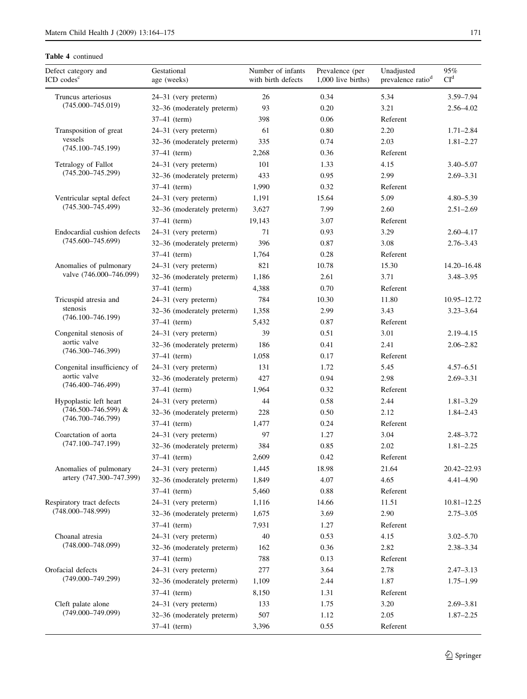Table 4 continued

| Defect category and<br>ICD codes <sup>c</sup> | Gestational<br>age (weeks) | Number of infants<br>with birth defects | Prevalence (per<br>1,000 live births) | Unadjusted<br>prevalence ratio <sup>d</sup> | 95%<br>CI <sup>d</sup> |
|-----------------------------------------------|----------------------------|-----------------------------------------|---------------------------------------|---------------------------------------------|------------------------|
| Truncus arteriosus                            | 24-31 (very preterm)       | 26                                      | 0.34                                  | 5.34                                        | 3.59–7.94              |
| $(745.000 - 745.019)$                         | 32-36 (moderately preterm) | 93                                      | 0.20                                  | 3.21                                        | 2.56–4.02              |
|                                               | $37-41$ (term)             | 398                                     | 0.06                                  | Referent                                    |                        |
| Transposition of great                        | 24-31 (very preterm)       | 61                                      | $0.80\,$                              | 2.20                                        | $1.71 - 2.84$          |
| vessels                                       | 32-36 (moderately preterm) | 335                                     | 0.74                                  | 2.03                                        | $1.81 - 2.27$          |
| $(745.100 - 745.199)$                         | $37-41$ (term)             | 2,268                                   | 0.36                                  | Referent                                    |                        |
| Tetralogy of Fallot                           | 24-31 (very preterm)       | 101                                     | 1.33                                  | 4.15                                        | $3.40 - 5.07$          |
| $(745.200 - 745.299)$                         | 32-36 (moderately preterm) | 433                                     | 0.95                                  | 2.99                                        | $2.69 - 3.31$          |
|                                               | $37-41$ (term)             | 1,990                                   | 0.32                                  | Referent                                    |                        |
| Ventricular septal defect                     | 24-31 (very preterm)       | 1,191                                   | 15.64                                 | 5.09                                        | 4.80 - 5.39            |
| $(745.300 - 745.499)$                         | 32-36 (moderately preterm) | 3,627                                   | 7.99                                  | 2.60                                        | $2.51 - 2.69$          |
|                                               | $37-41$ (term)             | 19,143                                  | 3.07                                  | Referent                                    |                        |
| Endocardial cushion defects                   | 24-31 (very preterm)       | 71                                      | 0.93                                  | 3.29                                        | $2.60 - 4.17$          |
| $(745.600 - 745.699)$                         | 32-36 (moderately preterm) | 396                                     | 0.87                                  | 3.08                                        | $2.76 - 3.43$          |
|                                               | $37-41$ (term)             | 1,764                                   | 0.28                                  | Referent                                    |                        |
| Anomalies of pulmonary                        | 24-31 (very preterm)       | 821                                     | 10.78                                 | 15.30                                       | 14.20-16.48            |
| valve (746.000-746.099)                       | 32-36 (moderately preterm) | 1,186                                   | 2.61                                  | 3.71                                        | $3.48 - 3.95$          |
|                                               | $37-41$ (term)             | 4,388                                   | 0.70                                  | Referent                                    |                        |
| Tricuspid atresia and                         | 24-31 (very preterm)       | 784                                     | 10.30                                 | 11.80                                       | 10.95-12.72            |
| stenosis                                      | 32-36 (moderately preterm) | 1,358                                   | 2.99                                  | 3.43                                        | $3.23 - 3.64$          |
| $(746.100 - 746.199)$                         | $37-41$ (term)             | 5,432                                   | 0.87                                  | Referent                                    |                        |
| Congenital stenosis of                        | 24-31 (very preterm)       | 39                                      | 0.51                                  | 3.01                                        | $2.19 - 4.15$          |
| aortic valve<br>$(746.300 - 746.399)$         | 32-36 (moderately preterm) | 186                                     | 0.41                                  | 2.41                                        | $2.06 - 2.82$          |
|                                               | $37-41$ (term)             | 1,058                                   | 0.17                                  | Referent                                    |                        |
| Congenital insufficiency of                   | 24-31 (very preterm)       | 131                                     | 1.72                                  | 5.45                                        | $4.57 - 6.51$          |
| aortic valve                                  | 32-36 (moderately preterm) | 427                                     | 0.94                                  | 2.98                                        | $2.69 - 3.31$          |
| $(746.400 - 746.499)$                         | $37-41$ (term)             | 1,964                                   | 0.32                                  | Referent                                    |                        |
| Hypoplastic left heart                        | 24-31 (very preterm)       | 44                                      | 0.58                                  | 2.44                                        | $1.81 - 3.29$          |
| $(746.500 - 746.599)$ &                       | 32-36 (moderately preterm) | 228                                     | 0.50                                  | 2.12                                        | $1.84 - 2.43$          |
| $(746.700 - 746.799)$                         | $37-41$ (term)             | 1,477                                   | 0.24                                  | Referent                                    |                        |
| Coarctation of aorta                          | 24-31 (very preterm)       | 97                                      | 1.27                                  | 3.04                                        | $2.48 - 3.72$          |
| $(747.100 - 747.199)$                         | 32-36 (moderately preterm) | 384                                     | 0.85                                  | 2.02                                        | $1.81 - 2.25$          |
|                                               | 37-41 (term)               | 2,609                                   | 0.42                                  | Referent                                    |                        |
| Anomalies of pulmonary                        | 24-31 (very preterm)       | 1,445                                   | 18.98                                 | 21.64                                       | 20.42-22.93            |
| artery (747.300-747.399)                      | 32-36 (moderately preterm) | 1,849                                   | 4.07                                  | 4.65                                        | 4.41-4.90              |
|                                               | $37-41$ (term)             | 5,460                                   | 0.88                                  | Referent                                    |                        |
| Respiratory tract defects                     | 24-31 (very preterm)       | 1,116                                   | 14.66                                 | 11.51                                       | $10.81 - 12.25$        |
| $(748.000 - 748.999)$                         | 32-36 (moderately preterm) | 1,675                                   | 3.69                                  | 2.90                                        | $2.75 - 3.05$          |
|                                               | $37-41$ (term)             | 7,931                                   | 1.27                                  | Referent                                    |                        |
| Choanal atresia                               | 24-31 (very preterm)       | 40                                      | 0.53                                  | 4.15                                        | $3.02 - 5.70$          |
| $(748.000 - 748.099)$                         | 32-36 (moderately preterm) | 162                                     | 0.36                                  | 2.82                                        | $2.38 - 3.34$          |
|                                               | $37-41$ (term)             | 788                                     | 0.13                                  | Referent                                    |                        |
| Orofacial defects                             | 24-31 (very preterm)       | 277                                     | 3.64                                  | 2.78                                        | $2.47 - 3.13$          |
| $(749.000 - 749.299)$                         | 32-36 (moderately preterm) | 1,109                                   | 2.44                                  | 1.87                                        | $1.75 - 1.99$          |
|                                               | $37-41$ (term)             | 8,150                                   | 1.31                                  | Referent                                    |                        |
| Cleft palate alone                            | 24-31 (very preterm)       | 133                                     | 1.75                                  | 3.20                                        | $2.69 - 3.81$          |
| $(749.000 - 749.099)$                         | 32-36 (moderately preterm) | 507                                     | 1.12                                  | 2.05                                        | $1.87 - 2.25$          |
|                                               | $37-41$ (term)             | 3,396                                   | 0.55                                  | Referent                                    |                        |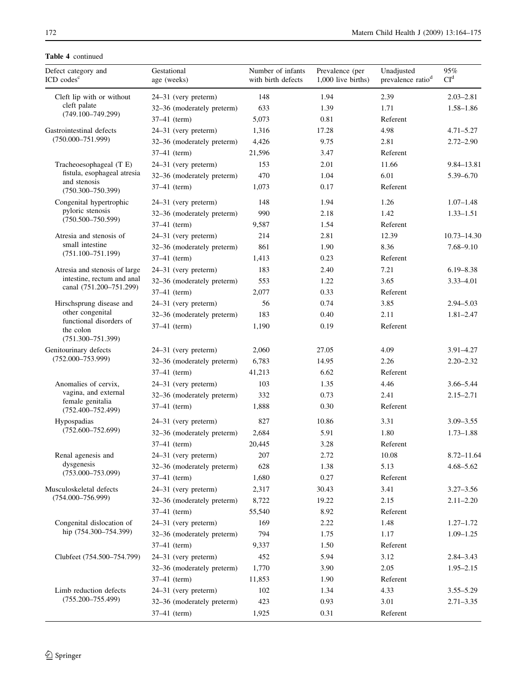## Table 4 continued

| Defect category and<br>ICD codes <sup>c</sup>     | Gestational<br>age (weeks)                   | Number of infants<br>with birth defects | Prevalence (per<br>1,000 live births) | Unadjusted<br>prevalence ratio <sup>d</sup> | 95%<br>CI <sup>d</sup> |
|---------------------------------------------------|----------------------------------------------|-----------------------------------------|---------------------------------------|---------------------------------------------|------------------------|
| Cleft lip with or without                         | 24-31 (very preterm)                         | 148                                     | 1.94                                  | 2.39                                        | $2.03 - 2.81$          |
| cleft palate<br>$(749.100 - 749.299)$             | 32-36 (moderately preterm)                   | 633                                     | 1.39                                  | 1.71                                        | $1.58 - 1.86$          |
|                                                   | $37-41$ (term)                               | 5,073                                   | 0.81                                  | Referent                                    |                        |
| Gastrointestinal defects<br>$(750.000 - 751.999)$ | 24-31 (very preterm)                         | 1,316                                   | 17.28                                 | 4.98                                        | $4.71 - 5.27$          |
|                                                   | 32-36 (moderately preterm)                   | 4,426                                   | 9.75                                  | 2.81                                        | $2.72 - 2.90$          |
|                                                   | $37-41$ (term)                               | 21,596                                  | 3.47                                  | Referent                                    |                        |
| Tracheoesophageal (T E)                           | 24-31 (very preterm)                         | 153                                     | 2.01                                  | 11.66                                       | 9.84-13.81             |
| fistula, esophageal atresia                       | 32-36 (moderately preterm)                   | 470                                     | 1.04                                  | 6.01                                        | $5.39 - 6.70$          |
| and stenosis<br>$(750.300 - 750.399)$             | $37-41$ (term)                               | 1,073                                   | 0.17                                  | Referent                                    |                        |
| Congenital hypertrophic                           | 24–31 (very preterm)                         | 148                                     | 1.94                                  | 1.26                                        | $1.07 - 1.48$          |
| pyloric stenosis                                  | 32-36 (moderately preterm)                   | 990                                     | 2.18                                  | 1.42                                        | $1.33 - 1.51$          |
| $(750.500 - 750.599)$                             | $37-41$ (term)                               | 9,587                                   | 1.54                                  | Referent                                    |                        |
| Atresia and stenosis of                           | 24-31 (very preterm)                         | 214                                     | 2.81                                  | 12.39                                       | 10.73-14.30            |
| small intestine                                   | 32-36 (moderately preterm)                   | 861                                     | 1.90                                  | 8.36                                        | $7.68 - 9.10$          |
| $(751.100 - 751.199)$                             | 37-41 (term)                                 | 1,413                                   | 0.23                                  | Referent                                    |                        |
| Atresia and stenosis of large                     | 24-31 (very preterm)                         | 183                                     | 2.40                                  | 7.21                                        | $6.19 - 8.38$          |
| intestine, rectum and anal                        | 32-36 (moderately preterm)                   | 553                                     | 1.22                                  | 3.65                                        | $3.33 - 4.01$          |
| canal (751.200-751.299)                           | $37-41$ (term)                               | 2,077                                   | 0.33                                  | Referent                                    |                        |
| Hirschsprung disease and                          | 24-31 (very preterm)                         | 56                                      | 0.74                                  | 3.85                                        | $2.94 - 5.03$          |
| other congenital                                  | 32-36 (moderately preterm)                   | 183                                     | 0.40                                  | 2.11                                        | $1.81 - 2.47$          |
| functional disorders of<br>the colon              | $37-41$ (term)                               | 1,190                                   | 0.19                                  | Referent                                    |                        |
| $(751.300 - 751.399)$<br>Genitourinary defects    | 24–31 (very preterm)                         | 2,060                                   | 27.05                                 | 4.09                                        | $3.91 - 4.27$          |
| $(752.000 - 753.999)$                             | 32-36 (moderately preterm)                   | 6,783                                   | 14.95                                 | 2.26                                        | $2.20 - 2.32$          |
|                                                   | $37-41$ (term)                               | 41,213                                  | 6.62                                  | Referent                                    |                        |
| Anomalies of cervix,                              | 24-31 (very preterm)                         | 103                                     | 1.35                                  | 4.46                                        | $3.66 - 5.44$          |
| vagina, and external                              | 32-36 (moderately preterm)                   | 332                                     | 0.73                                  | 2.41                                        | $2.15 - 2.71$          |
| female genitalia<br>$(752.400 - 752.499)$         | $37-41$ (term)                               | 1,888                                   | 0.30                                  | Referent                                    |                        |
| Hypospadias                                       | 24–31 (very preterm)                         | 827                                     | 10.86                                 | 3.31                                        | $3.09 - 3.55$          |
| $(752.600 - 752.699)$                             | 32-36 (moderately preterm)                   | 2,684                                   | 5.91                                  | 1.80                                        | $1.73 - 1.88$          |
|                                                   | $37-41$ (term)                               | 20,445                                  | 3.28                                  | Referent                                    |                        |
| Renal agenesis and                                | 24–31 (very preterm)                         | 207                                     | 2.72                                  | 10.08                                       | 8.72-11.64             |
| dysgenesis                                        | 32-36 (moderately preterm)                   | 628                                     | 1.38                                  | 5.13                                        | $4.68 - 5.62$          |
| $(753.000 - 753.099)$                             | $37-41$ (term)                               | 1,680                                   | 0.27                                  | Referent                                    |                        |
| Musculoskeletal defects                           | 24-31 (very preterm)                         | 2,317                                   | 30.43                                 | 3.41                                        | $3.27 - 3.56$          |
| $(754.000 - 756.999)$                             | 32-36 (moderately preterm)                   | 8,722                                   | 19.22                                 | 2.15                                        | $2.11 - 2.20$          |
|                                                   | $37-41$ (term)                               | 55,540                                  | 8.92                                  | Referent                                    |                        |
| Congenital dislocation of                         | 24-31 (very preterm)                         | 169                                     | 2.22                                  | 1.48                                        | $1.27 - 1.72$          |
| hip (754.300-754.399)                             | 32-36 (moderately preterm)                   | 794                                     | 1.75                                  | 1.17                                        | $1.09 - 1.25$          |
|                                                   | $37-41$ (term)                               | 9,337                                   | 1.50                                  | Referent                                    |                        |
| Clubfeet (754.500-754.799)                        | 24-31 (very preterm)                         | 452                                     | 5.94                                  | 3.12                                        | 2.84-3.43              |
|                                                   | 32-36 (moderately preterm)                   | 1,770                                   | 3.90                                  | 2.05                                        | $1.95 - 2.15$          |
|                                                   | $37-41$ (term)                               | 11,853                                  | 1.90                                  | Referent                                    |                        |
| Limb reduction defects                            |                                              |                                         | 1.34                                  | 4.33                                        |                        |
| $(755.200 - 755.499)$                             | 24-31 (very preterm)                         | 102<br>423                              | 0.93                                  | 3.01                                        | $3.55 - 5.29$          |
|                                                   | 32-36 (moderately preterm)<br>$37-41$ (term) | 1,925                                   | 0.31                                  | Referent                                    | $2.71 - 3.35$          |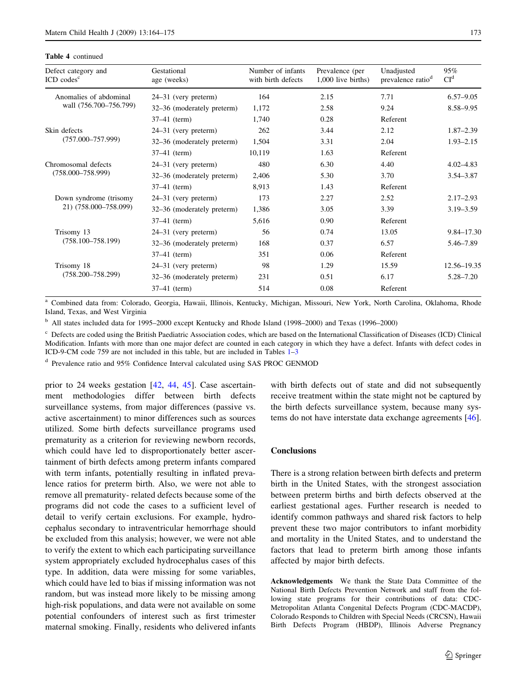#### Table 4 continued

| Defect category and<br>ICD codes <sup>c</sup>    | Gestational<br>age (weeks) | Number of infants<br>with birth defects | Prevalence (per<br>$1,000$ live births) | Unadjusted<br>prevalence ratio <sup>d</sup> | 95%<br>CI <sup>d</sup> |
|--------------------------------------------------|----------------------------|-----------------------------------------|-----------------------------------------|---------------------------------------------|------------------------|
| Anomalies of abdominal<br>wall (756.700-756.799) | $24-31$ (very preterm)     | 164                                     | 2.15                                    | 7.71                                        | $6.57 - 9.05$          |
|                                                  | 32–36 (moderately preterm) | 1,172                                   | 2.58                                    | 9.24                                        | 8.58–9.95              |
|                                                  | $37-41$ (term)             | 1,740                                   | 0.28                                    | Referent                                    |                        |
| Skin defects                                     | $24-31$ (very preterm)     | 262                                     | 3.44                                    | 2.12                                        | $1.87 - 2.39$          |
| $(757.000 - 757.999)$                            | 32–36 (moderately preterm) | 1,504                                   | 3.31                                    | 2.04                                        | $1.93 - 2.15$          |
|                                                  | $37-41$ (term)             | 10,119                                  | 1.63                                    | Referent                                    |                        |
| Chromosomal defects                              | $24-31$ (very preterm)     | 480                                     | 6.30                                    | 4.40                                        | $4.02 - 4.83$          |
| $(758.000 - 758.999)$                            | 32–36 (moderately preterm) | 2,406                                   | 5.30                                    | 3.70                                        | $3.54 - 3.87$          |
|                                                  | $37-41$ (term)             | 8,913                                   | 1.43                                    | Referent                                    |                        |
| Down syndrome (trisomy                           | $24-31$ (very preterm)     | 173                                     | 2.27                                    | 2.52                                        | $2.17 - 2.93$          |
| 21) (758.000-758.099)                            | 32–36 (moderately preterm) | 1,386                                   | 3.05                                    | 3.39                                        | $3.19 - 3.59$          |
|                                                  | $37-41$ (term)             | 5,616                                   | 0.90                                    | Referent                                    |                        |
| Trisomy 13                                       | $24-31$ (very preterm)     | 56                                      | 0.74                                    | 13.05                                       | 9.84-17.30             |
| $(758.100 - 758.199)$                            | 32–36 (moderately preterm) | 168                                     | 0.37                                    | 6.57                                        | 5.46-7.89              |
|                                                  | $37-41$ (term)             | 351                                     | 0.06                                    | Referent                                    |                        |
| Trisomy 18                                       | $24-31$ (very preterm)     | 98                                      | 1.29                                    | 15.59                                       | 12.56-19.35            |
| $(758.200 - 758.299)$                            | 32–36 (moderately preterm) | 231                                     | 0.51                                    | 6.17                                        | $5.28 - 7.20$          |
|                                                  | $37-41$ (term)             | 514                                     | 0.08                                    | Referent                                    |                        |

<sup>a</sup> Combined data from: Colorado, Georgia, Hawaii, Illinois, Kentucky, Michigan, Missouri, New York, North Carolina, Oklahoma, Rhode Island, Texas, and West Virginia

<sup>b</sup> All states included data for 1995–2000 except Kentucky and Rhode Island (1998–2000) and Texas (1996–2000)

<sup>c</sup> Defects are coded using the British Paediatric Association codes, which are based on the International Classification of Diseases (ICD) Clinical Modification. Infants with more than one major defect are counted in each category in which they have a defect. Infants with defect codes in ICD-9-CM code 759 are not included in this table, but are included in Tables [1](#page-3-0)[–3](#page-5-0)

<sup>d</sup> Prevalence ratio and 95% Confidence Interval calculated using SAS PROC GENMOD

prior to 24 weeks gestation [[42,](#page-11-0) [44,](#page-11-0) [45](#page-11-0)]. Case ascertainment methodologies differ between birth defects surveillance systems, from major differences (passive vs. active ascertainment) to minor differences such as sources utilized. Some birth defects surveillance programs used prematurity as a criterion for reviewing newborn records, which could have led to disproportionately better ascertainment of birth defects among preterm infants compared with term infants, potentially resulting in inflated prevalence ratios for preterm birth. Also, we were not able to remove all prematurity- related defects because some of the programs did not code the cases to a sufficient level of detail to verify certain exclusions. For example, hydrocephalus secondary to intraventricular hemorrhage should be excluded from this analysis; however, we were not able to verify the extent to which each participating surveillance system appropriately excluded hydrocephalus cases of this type. In addition, data were missing for some variables, which could have led to bias if missing information was not random, but was instead more likely to be missing among high-risk populations, and data were not available on some potential confounders of interest such as first trimester maternal smoking. Finally, residents who delivered infants with birth defects out of state and did not subsequently receive treatment within the state might not be captured by the birth defects surveillance system, because many systems do not have interstate data exchange agreements [\[46](#page-11-0)].

## **Conclusions**

There is a strong relation between birth defects and preterm birth in the United States, with the strongest association between preterm births and birth defects observed at the earliest gestational ages. Further research is needed to identify common pathways and shared risk factors to help prevent these two major contributors to infant morbidity and mortality in the United States, and to understand the factors that lead to preterm birth among those infants affected by major birth defects.

Acknowledgements We thank the State Data Committee of the National Birth Defects Prevention Network and staff from the following state programs for their contributions of data: CDC-Metropolitan Atlanta Congenital Defects Program (CDC-MACDP), Colorado Responds to Children with Special Needs (CRCSN), Hawaii Birth Defects Program (HBDP), Illinois Adverse Pregnancy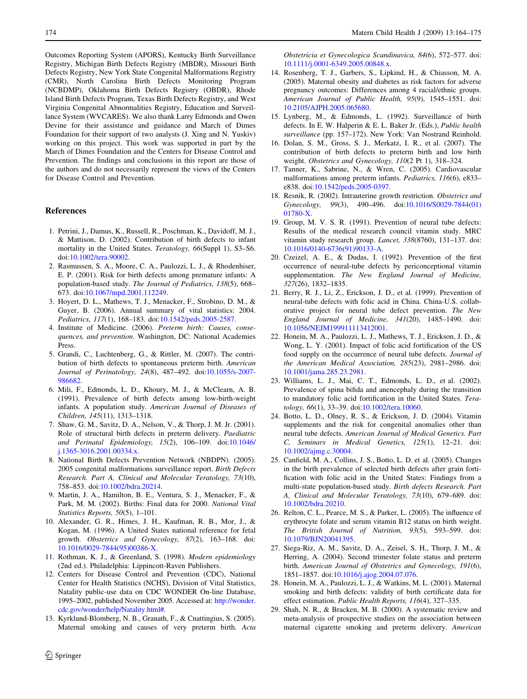<span id="page-10-0"></span>Outcomes Reporting System (APORS), Kentucky Birth Surveillance Registry, Michigan Birth Defects Registry (MBDR), Missouri Birth Defects Registry, New York State Congenital Malformations Registry (CMR), North Carolina Birth Defects Monitoring Program (NCBDMP), Oklahoma Birth Defects Registry (OBDR), Rhode Island Birth Defects Program, Texas Birth Defects Registry, and West Virginia Congenital Abnormalities Registry, Education and Surveillance System (WVCARES). We also thank Larry Edmonds and Owen Devine for their assistance and guidance and March of Dimes Foundation for their support of two analysts (J. Xing and N. Yuskiv) working on this project. This work was supported in part by the March of Dimes Foundation and the Centers for Disease Control and Prevention. The findings and conclusions in this report are those of the authors and do not necessarily represent the views of the Centers for Disease Control and Prevention.

## References

- 1. Petrini, J., Damus, K., Russell, R., Poschman, K., Davidoff, M. J., & Mattison, D. (2002). Contribution of birth defects to infant mortality in the United States. Teratology, 66(Suppl 1), S3–S6. doi:[10.1002/tera.90002.](http://dx.doi.org/10.1002/tera.90002)
- 2. Rasmussen, S. A., Moore, C. A., Paulozzi, L. J., & Rhodenhiser, E. P. (2001). Risk for birth defects among premature infants: A population-based study. The Journal of Pediatrics, 138(5), 668– 673. doi[:10.1067/mpd.2001.112249](http://dx.doi.org/10.1067/mpd.2001.112249).
- 3. Hoyert, D. L., Mathews, T. J., Menacker, F., Strobino, D. M., & Guyer, B. (2006). Annual summary of vital statistics: 2004. Pediatrics, 117(1), 168–183. doi:[10.1542/peds.2005-2587](http://dx.doi.org/10.1542/peds.2005-2587).
- 4. Institute of Medicine. (2006). Preterm birth: Causes, consequences, and prevention. Washington, DC: National Academies Press.
- 5. Grandi, C., Luchtenberg, G., & Rittler, M. (2007). The contribution of birth defects to spontaneous preterm birth. American Journal of Perinatology, 24(8), 487–492. doi[:10.1055/s-2007-](http://dx.doi.org/10.1055/s-2007-986682) [986682](http://dx.doi.org/10.1055/s-2007-986682).
- 6. Mili, F., Edmonds, L. D., Khoury, M. J., & McClearn, A. B. (1991). Prevalence of birth defects among low-birth-weight infants. A population study. American Journal of Diseases of Children, 145(11), 1313–1318.
- 7. Shaw, G. M., Savitz, D. A., Nelson, V., & Thorp, J. M. Jr. (2001). Role of structural birth defects in preterm delivery. Paediatric and Perinatal Epidemiology, 15(2), 106–109. doi[:10.1046/](http://dx.doi.org/10.1046/j.1365-3016.2001.00334.x) [j.1365-3016.2001.00334.x.](http://dx.doi.org/10.1046/j.1365-3016.2001.00334.x)
- 8. National Birth Defects Prevention Network (NBDPN). (2005). 2005 congenital malformations surveillance report. Birth Defects Research. Part A, Clinical and Molecular Teratology, 73(10), 758–853. doi[:10.1002/bdra.20214.](http://dx.doi.org/10.1002/bdra.20214)
- 9. Martin, J. A., Hamilton, B. E., Ventura, S. J., Menacker, F., & Park, M. M. (2002). Births: Final data for 2000. National Vital Statistics Reports, 50(5), 1–101.
- 10. Alexander, G. R., Himes, J. H., Kaufman, R. B., Mor, J., & Kogan, M. (1996). A United States national reference for fetal growth. Obstetrics and Gynecology, 87(2), 163–168. doi: [10.1016/0029-7844\(95\)00386-X](http://dx.doi.org/10.1016/0029-7844(95)00386-X).
- 11. Rothman, K. J., & Greenland, S. (1998). Modern epidemiology (2nd ed.). Philadelphia: Lippincott-Raven Publishers.
- 12. Centers for Disease Control and Prevention (CDC), National Center for Health Statistics (NCHS), Division of Vital Statistics, Natality public-use data on CDC WONDER On-line Database, 1995–2002, published November 2005. Accessed at: [http://wonder.](http://wonder.cdc.gov/wonder/help/Natality.html#) [cdc.gov/wonder/help/Natality.html#](http://wonder.cdc.gov/wonder/help/Natality.html#).
- 13. Kyrklund-Blomberg, N. B., Granath, F., & Cnattingius, S. (2005). Maternal smoking and causes of very preterm birth. Acta

Obstetricia et Gynecologica Scandinavica, 84(6), 572–577. doi: [10.1111/j.0001-6349.2005.00848.x.](http://dx.doi.org/10.1111/j.0001-6349.2005.00848.x)

- 14. Rosenberg, T. J., Garbers, S., Lipkind, H., & Chiasson, M. A. (2005). Maternal obesity and diabetes as risk factors for adverse pregnancy outcomes: Differences among 4 racial/ethnic groups. American Journal of Public Health, 95(9), 1545–1551. doi: [10.2105/AJPH.2005.065680](http://dx.doi.org/10.2105/AJPH.2005.065680).
- 15. Lynberg, M., & Edmonds, L. (1992). Surveillance of birth defects. In E. W. Halperin & E. L. Baker Jr. (Eds.), Public health surveillance (pp. 157-172). New York: Van Nostrand Reinhold.
- 16. Dolan, S. M., Gross, S. J., Merkatz, I. R., et al. (2007). The contribution of birth defects to preterm birth and low birth weight. Obstetrics and Gynecology, 110(2 Pt 1), 318–324.
- 17. Tanner, K., Sabrine, N., & Wren, C. (2005). Cardiovascular malformations among preterm infants. Pediatrics, 116(6), e833– e838. doi[:10.1542/peds.2005-0397.](http://dx.doi.org/10.1542/peds.2005-0397)
- 18. Resnik, R. (2002). Intrauterine growth restriction. Obstetrics and Gynecology, 99(3), 490–496. doi:[10.1016/S0029-7844\(01\)](http://dx.doi.org/10.1016/S0029-7844(01)01780-X) [01780-X.](http://dx.doi.org/10.1016/S0029-7844(01)01780-X)
- 19. Group, M. V. S. R. (1991). Prevention of neural tube defects: Results of the medical research council vitamin study. MRC vitamin study research group. Lancet, 338(8760), 131–137. doi: [10.1016/0140-6736\(91\)90133-A.](http://dx.doi.org/10.1016/0140-6736(91)90133-A)
- 20. Czeizel, A. E., & Dudas, I. (1992). Prevention of the first occurrence of neural-tube defects by periconceptional vitamin supplementation. The New England Journal of Medicine, 327(26), 1832–1835.
- 21. Berry, R. J., Li, Z., Erickson, J. D., et al. (1999). Prevention of neural-tube defects with folic acid in China. China-U.S. collaborative project for neural tube defect prevention. The New England Journal of Medicine, 341(20), 1485–1490. doi: [10.1056/NEJM199911113412001](http://dx.doi.org/10.1056/NEJM199911113412001).
- 22. Honein, M. A., Paulozzi, L. J., Mathews, T. J., Erickson, J. D., & Wong, L. Y. (2001). Impact of folic acid fortification of the US food supply on the occurrence of neural tube defects. Journal of the American Medical Association, 285(23), 2981–2986. doi: [10.1001/jama.285.23.2981.](http://dx.doi.org/10.1001/jama.285.23.2981)
- 23. Williams, L. J., Mai, C. T., Edmonds, L. D., et al. (2002). Prevalence of spina bifida and anencephaly during the transition to mandatory folic acid fortification in the United States. Teratology, 66(1), 33–39. doi:[10.1002/tera.10060.](http://dx.doi.org/10.1002/tera.10060)
- 24. Botto, L. D., Olney, R. S., & Erickson, J. D. (2004). Vitamin supplements and the risk for congenital anomalies other than neural tube defects. American Journal of Medical Genetics. Part C, Seminars in Medical Genetics, 125(1), 12–21. doi: [10.1002/ajmg.c.30004.](http://dx.doi.org/10.1002/ajmg.c.30004)
- 25. Canfield, M. A., Collins, J. S., Botto, L. D. et al. (2005). Changes in the birth prevalence of selected birth defects after grain fortification with folic acid in the United States: Findings from a multi-state population-based study. Birth defects Research. Part A, Clinical and Molecular Teratology, 73(10), 679–689. doi: [10.1002/bdra.20210](http://dx.doi.org/10.1002/bdra.20210).
- 26. Relton, C. L., Pearce, M. S., & Parker, L. (2005). The influence of erythrocyte folate and serum vitamin B12 status on birth weight. The British Journal of Nutrition, 93(5), 593–599. doi: [10.1079/BJN20041395.](http://dx.doi.org/10.1079/BJN20041395)
- 27. Siega-Riz, A. M., Savitz, D. A., Zeisel, S. H., Thorp, J. M., & Herring, A. (2004). Second trimester folate status and preterm birth. American Journal of Obstetrics and Gynecology, 191(6), 1851–1857. doi:[10.1016/j.ajog.2004.07.076.](http://dx.doi.org/10.1016/j.ajog.2004.07.076)
- 28. Honein, M. A., Paulozzi, L. J., & Watkins, M. L. (2001). Maternal smoking and birth defects: validity of birth certificate data for effect estimation. Public Health Reports, 116(4), 327–335.
- 29. Shah, N. R., & Bracken, M. B. (2000). A systematic review and meta-analysis of prospective studies on the association between maternal cigarette smoking and preterm delivery. American